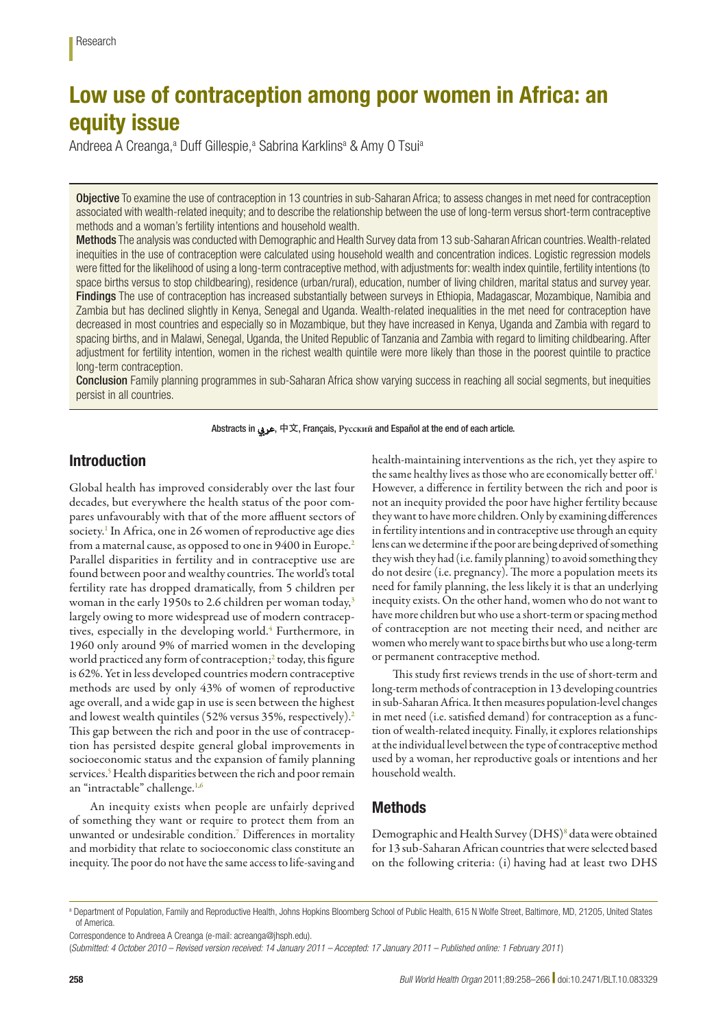# Low use of contraception among poor women in Africa: an equity issue

Andreea A Creanga,<sup>a</sup> Duff Gillespie,<sup>a</sup> Sabrina Karklins<sup>a</sup> & Amy O Tsui<sup>a</sup>

Objective To examine the use of contraception in 13 countries in sub-Saharan Africa; to assess changes in met need for contraception associated with wealth-related inequity; and to describe the relationship between the use of long-term versus short-term contraceptive methods and a woman's fertility intentions and household wealth.

Methods The analysis was conducted with Demographic and Health Survey data from 13 sub-Saharan African countries. Wealth-related inequities in the use of contraception were calculated using household wealth and concentration indices. Logistic regression models were fitted for the likelihood of using a long-term contraceptive method, with adjustments for: wealth index quintile, fertility intentions (to space births versus to stop childbearing), residence (urban/rural), education, number of living children, marital status and survey year. Findings The use of contraception has increased substantially between surveys in Ethiopia, Madagascar, Mozambique, Namibia and Zambia but has declined slightly in Kenya, Senegal and Uganda. Wealth-related inequalities in the met need for contraception have decreased in most countries and especially so in Mozambique, but they have increased in Kenya, Uganda and Zambia with regard to spacing births, and in Malawi, Senegal, Uganda, the United Republic of Tanzania and Zambia with regard to limiting childbearing. After adjustment for fertility intention, women in the richest wealth quintile were more likely than those in the poorest quintile to practice long-term contraception.

Conclusion Family planning programmes in sub-Saharan Africa show varying success in reaching all social segments, but inequities persist in all countries.

#### Abstracts in عريب, 中文, Français, **Pусский** and Español at the end of each article.

# Introduction

Global health has improved considerably over the last four decades, but everywhere the health status of the poor compares unfavourably with that of the more affluent sectors of society.<sup>[1](#page-7-0)</sup> In Africa, one in 26 women of reproductive age dies from a maternal cause, as opposed to one in 9400 in Europe.<sup>[2](#page-7-1)</sup> Parallel disparities in fertility and in contraceptive use are found between poor and wealthy countries. The world's total fertility rate has dropped dramatically, from 5 children per woman in the early 1950s to 2.6 children per woman today,<sup>[3](#page-7-2)</sup> largely owing to more widespread use of modern contracep-tives, especially in the developing world.<sup>[4](#page-7-3)</sup> Furthermore, in 1960 only around 9% of married women in the developing world practiced any form of contraception;<sup>2</sup> today, this figure is 62%. Yet in less developed countries modern contraceptive methods are used by only 43% of women of reproductive age overall, and a wide gap in use is seen between the highest and lowest wealth quintiles (5[2](#page-7-1)% versus 35%, respectively).<sup>2</sup> This gap between the rich and poor in the use of contraception has persisted despite general global improvements in socioeconomic status and the expansion of family planning services.<sup>5</sup> Health disparities between the rich and poor remain an "intractable" challenge.<sup>1,[6](#page-7-5)</sup>

An inequity exists when people are unfairly deprived of something they want or require to protect them from an unwanted or undesirable condition[.7](#page-7-6) Differences in mortality and morbidity that relate to socioeconomic class constitute an inequity. The poor do not have the same access to life-saving and

health-maintaining interventions as the rich, yet they aspire to the same healthy lives as those who are economically better off.<sup>[1](#page-7-0)</sup> However, a difference in fertility between the rich and poor is not an inequity provided the poor have higher fertility because they want to have more children. Only by examining differences in fertility intentions and in contraceptive use through an equity lens can we determine if the poor are being deprived of something they wish they had (i.e. family planning) to avoid something they do not desire (i.e. pregnancy). The more a population meets its need for family planning, the less likely it is that an underlying inequity exists. On the other hand, women who do not want to have more children but who use a short-term or spacing method of contraception are not meeting their need, and neither are women who merely want to space births but who use a long-term or permanent contraceptive method.

This study first reviews trends in the use of short-term and long-term methods of contraception in 13 developing countries in sub-Saharan Africa. It then measures population-level changes in met need (i.e. satisfied demand) for contraception as a function of wealth-related inequity. Finally, it explores relationships at the individual level between the type of contraceptive method used by a woman, her reproductive goals or intentions and her household wealth.

# Methods

Demographic and Health Survey (DHS)<sup>[8](#page-8-0)</sup> data were obtained for 13 sub-Saharan African countries that were selected based on the following criteria: (i) having had at least two DHS

Correspondence to Andreea A Creanga (e-mail: acreanga@jhsph.edu).

(*Submitted: 4 October 2010 – Revised version received: 14 January 2011 – Accepted: 17 January 2011 – Published online: 1 February 2011* )

a Department of Population, Family and Reproductive Health, Johns Hopkins Bloomberg School of Public Health, 615 N Wolfe Street, Baltimore, MD, 21205, United States of America.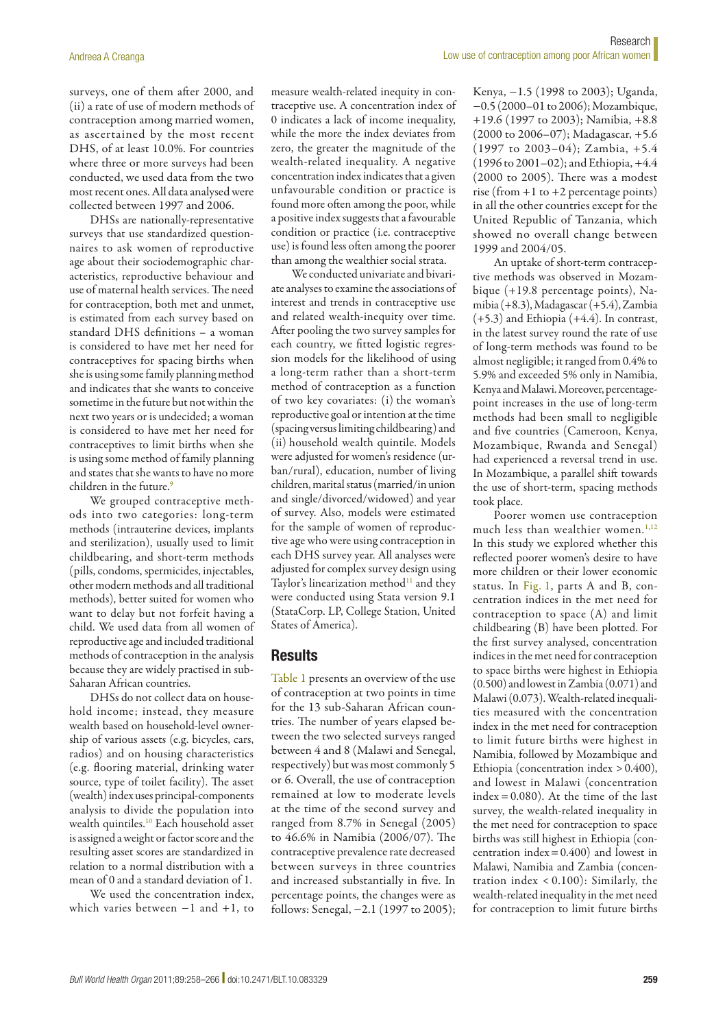surveys, one of them after 2000, and (ii) a rate of use of modern methods of contraception among married women, as ascertained by the most recent DHS, of at least 10.0%. For countries where three or more surveys had been conducted, we used data from the two most recent ones. All data analysed were collected between 1997 and 2006.

DHSs are nationally-representative surveys that use standardized questionnaires to ask women of reproductive age about their sociodemographic characteristics, reproductive behaviour and use of maternal health services. The need for contraception, both met and unmet, is estimated from each survey based on standard DHS definitions – a woman is considered to have met her need for contraceptives for spacing births when she is using some family planning method and indicates that she wants to conceive sometime in the future but not within the next two years or is undecided; a woman is considered to have met her need for contraceptives to limit births when she is using some method of family planning and states that she wants to have no more children in the future.<sup>9</sup>

We grouped contraceptive methods into two categories: long-term methods (intrauterine devices, implants and sterilization), usually used to limit childbearing, and short-term methods (pills, condoms, spermicides, injectables, other modern methods and all traditional methods), better suited for women who want to delay but not forfeit having a child. We used data from all women of reproductive age and included traditional methods of contraception in the analysis because they are widely practised in sub-Saharan African countries.

DHSs do not collect data on household income; instead, they measure wealth based on household-level ownership of various assets (e.g. bicycles, cars, radios) and on housing characteristics (e.g. flooring material, drinking water source, type of toilet facility). The asset (wealth) index uses principal-components analysis to divide the population into wealth quintiles[.10](#page-8-2) Each household asset is assigned a weight or factor score and the resulting asset scores are standardized in relation to a normal distribution with a mean of 0 and a standard deviation of 1.

We used the concentration index, which varies between −1 and +1, to measure wealth-related inequity in contraceptive use. A concentration index of 0 indicates a lack of income inequality, while the more the index deviates from zero, the greater the magnitude of the wealth-related inequality. A negative concentration index indicates that a given unfavourable condition or practice is found more often among the poor, while a positive index suggests that a favourable condition or practice (i.e. contraceptive use) is found less often among the poorer than among the wealthier social strata.

We conducted univariate and bivariate analyses to examine the associations of interest and trends in contraceptive use and related wealth-inequity over time. After pooling the two survey samples for each country, we fitted logistic regression models for the likelihood of using a long-term rather than a short-term method of contraception as a function of two key covariates: (i) the woman's reproductive goal or intention at the time (spacing versus limiting childbearing) and (ii) household wealth quintile. Models were adjusted for women's residence (urban/rural), education, number of living children, marital status (married/in union and single/divorced/widowed) and year of survey. Also, models were estimated for the sample of women of reproductive age who were using contraception in each DHS survey year. All analyses were adjusted for complex survey design using Taylor's linearization method $11$  and they were conducted using Stata version 9.1 (StataCorp. LP, College Station, United States of America).

# **Results**

[Table](#page-2-0) 1 presents an overview of the use of contraception at two points in time for the 13 sub-Saharan African countries. The number of years elapsed between the two selected surveys ranged between 4 and 8 (Malawi and Senegal, respectively) but was most commonly 5 or 6. Overall, the use of contraception remained at low to moderate levels at the time of the second survey and ranged from 8.7% in Senegal (2005) to 46.6% in Namibia (2006/07). The contraceptive prevalence rate decreased between surveys in three countries and increased substantially in five. In percentage points, the changes were as follows: Senegal, −2.1 (1997 to 2005);

Kenya, −1.5 (1998 to 2003); Uganda, −0.5 (2000–01 to 2006); Mozambique, +19.6 (1997 to 2003); Namibia, +8.8 (2000 to 2006–07); Madagascar, +5.6 (1997 to 2003–04); Zambia, +5.4 (1996 to 2001–02); and Ethiopia, +4.4 (2000 to 2005). There was a modest rise (from  $+1$  to  $+2$  percentage points) in all the other countries except for the United Republic of Tanzania, which showed no overall change between 1999 and 2004/05.

An uptake of short-term contraceptive methods was observed in Mozambique (+19.8 percentage points), Namibia (+8.3), Madagascar (+5.4), Zambia  $(+5.3)$  and Ethiopia  $(+4.4)$ . In contrast, in the latest survey round the rate of use of long-term methods was found to be almost negligible; it ranged from 0.4% to 5.9% and exceeded 5% only in Namibia, Kenya and Malawi. Moreover, percentagepoint increases in the use of long-term methods had been small to negligible and five countries (Cameroon, Kenya, Mozambique, Rwanda and Senegal) had experienced a reversal trend in use. In Mozambique, a parallel shift towards the use of short-term, spacing methods took place.

Poorer women use contraception much less than wealthier women.<sup>[1](#page-7-0),[12](#page-8-4)</sup> In this study we explored whether this reflected poorer women's desire to have more children or their lower economic status. In [Fig.](#page-3-0) 1, parts A and B, concentration indices in the met need for contraception to space (A) and limit childbearing (B) have been plotted. For the first survey analysed, concentration indices in the met need for contraception to space births were highest in Ethiopia (0.500) and lowest in Zambia (0.071) and Malawi (0.073). Wealth-related inequalities measured with the concentration index in the met need for contraception to limit future births were highest in Namibia, followed by Mozambique and Ethiopia (concentration index  $> 0.400$ ), and lowest in Malawi (concentration  $index = 0.080$ . At the time of the last survey, the wealth-related inequality in the met need for contraception to space births was still highest in Ethiopia (concentration index =  $0.400$ ) and lowest in Malawi, Namibia and Zambia (concentration index < 0.100): Similarly, the wealth-related inequality in the met need for contraception to limit future births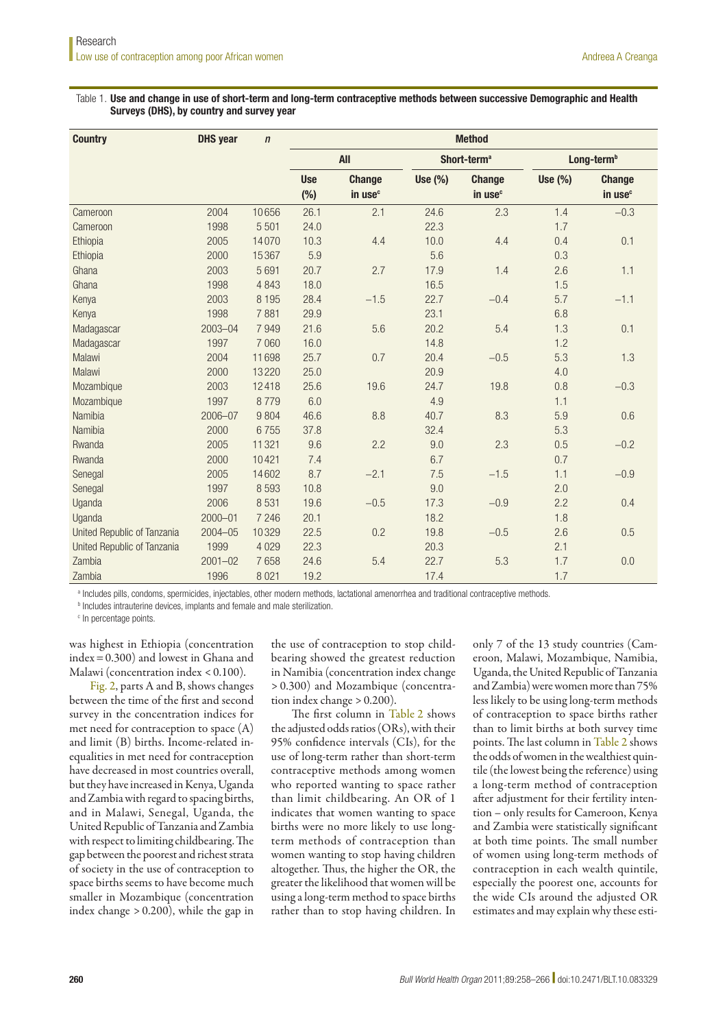#### <span id="page-2-0"></span>Table 1. Use and change in use of short-term and long-term contraceptive methods between successive Demographic and Health Surveys (DHS), by country and survey year

| <b>Country</b>              | <b>DHS</b> year | $\mathbf n$ | <b>Method</b>     |                                      |                         |                                      |                        |                                      |
|-----------------------------|-----------------|-------------|-------------------|--------------------------------------|-------------------------|--------------------------------------|------------------------|--------------------------------------|
|                             |                 |             |                   | All                                  | Short-term <sup>a</sup> |                                      | Long-term <sup>b</sup> |                                      |
|                             |                 |             | <b>Use</b><br>(%) | <b>Change</b><br>in use <sup>c</sup> | Use $(\%)$              | <b>Change</b><br>in use <sup>c</sup> | Use $(\%)$             | <b>Change</b><br>in use <sup>c</sup> |
| Cameroon                    | 2004            | 10656       | 26.1              | 2.1                                  | 24.6                    | 2.3                                  | 1.4                    | $-0.3$                               |
| Cameroon                    | 1998            | 5 5 0 1     | 24.0              |                                      | 22.3                    |                                      | 1.7                    |                                      |
| Ethiopia                    | 2005            | 14070       | 10.3              | 4.4                                  | 10.0                    | 4.4                                  | 0.4                    | 0.1                                  |
| Ethiopia                    | 2000            | 15367       | 5.9               |                                      | 5.6                     |                                      | 0.3                    |                                      |
| Ghana                       | 2003            | 5 6 9 1     | 20.7              | 2.7                                  | 17.9                    | 1.4                                  | 2.6                    | 1.1                                  |
| Ghana                       | 1998            | 4 8 4 3     | 18.0              |                                      | 16.5                    |                                      | 1.5                    |                                      |
| Kenya                       | 2003            | 8 1 9 5     | 28.4              | $-1.5$                               | 22.7                    | $-0.4$                               | 5.7                    | $-1.1$                               |
| Kenya                       | 1998            | 7881        | 29.9              |                                      | 23.1                    |                                      | 6.8                    |                                      |
| Madagascar                  | $2003 - 04$     | 7949        | 21.6              | 5.6                                  | 20.2                    | 5.4                                  | 1.3                    | 0.1                                  |
| Madagascar                  | 1997            | 7 0 6 0     | 16.0              |                                      | 14.8                    |                                      | 1.2                    |                                      |
| Malawi                      | 2004            | 11698       | 25.7              | 0.7                                  | 20.4                    | $-0.5$                               | 5.3                    | 1.3                                  |
| Malawi                      | 2000            | 13220       | 25.0              |                                      | 20.9                    |                                      | 4.0                    |                                      |
| Mozambique                  | 2003            | 12418       | 25.6              | 19.6                                 | 24.7                    | 19.8                                 | 0.8                    | $-0.3$                               |
| Mozambique                  | 1997            | 8779        | 6.0               |                                      | 4.9                     |                                      | 1.1                    |                                      |
| Namibia                     | $2006 - 07$     | 9 8 0 4     | 46.6              | 8.8                                  | 40.7                    | 8.3                                  | 5.9                    | 0.6                                  |
| Namibia                     | 2000            | 6755        | 37.8              |                                      | 32.4                    |                                      | 5.3                    |                                      |
| Rwanda                      | 2005            | 11321       | 9.6               | 2.2                                  | 9.0                     | 2.3                                  | 0.5                    | $-0.2$                               |
| Rwanda                      | 2000            | 10421       | 7.4               |                                      | 6.7                     |                                      | 0.7                    |                                      |
| Senegal                     | 2005            | 14602       | 8.7               | $-2.1$                               | 7.5                     | $-1.5$                               | 1.1                    | $-0.9$                               |
| Senegal                     | 1997            | 8 5 9 3     | 10.8              |                                      | 9.0                     |                                      | 2.0                    |                                      |
| Uganda                      | 2006            | 8 5 3 1     | 19.6              | $-0.5$                               | 17.3                    | $-0.9$                               | 2.2                    | 0.4                                  |
| Uganda                      | $2000 - 01$     | 7 2 4 6     | 20.1              |                                      | 18.2                    |                                      | 1.8                    |                                      |
| United Republic of Tanzania | $2004 - 05$     | 10329       | 22.5              | 0.2                                  | 19.8                    | $-0.5$                               | 2.6                    | 0.5                                  |
| United Republic of Tanzania | 1999            | 4 0 2 9     | 22.3              |                                      | 20.3                    |                                      | 2.1                    |                                      |
| Zambia                      | $2001 - 02$     | 7658        | 24.6              | 5.4                                  | 22.7                    | 5.3                                  | 1.7                    | 0.0                                  |
| Zambia                      | 1996            | 8 0 21      | 19.2              |                                      | 17.4                    |                                      | 1.7                    |                                      |

a Includes pills, condoms, spermicides, injectables, other modern methods, lactational amenorrhea and traditional contraceptive methods.

**b** Includes intrauterine devices, implants and female and male sterilization.

c In percentage points.

was highest in Ethiopia (concentration index=0.300) and lowest in Ghana and Malawi (concentration index  $< 0.100$ ).

[Fig.](#page-4-0) 2, parts A and B, shows changes between the time of the first and second survey in the concentration indices for met need for contraception to space (A) and limit (B) births. Income-related inequalities in met need for contraception have decreased in most countries overall, but they have increased in Kenya, Uganda and Zambia with regard to spacing births, and in Malawi, Senegal, Uganda, the United Republic of Tanzania and Zambia with respect to limiting childbearing. The gap between the poorest and richest strata of society in the use of contraception to space births seems to have become much smaller in Mozambique (concentration index change >0.200), while the gap in

the use of contraception to stop childbearing showed the greatest reduction in Namibia (concentration index change >0.300) and Mozambique (concentration index change  $> 0.200$ ).

The first column in [Table](#page-5-0) 2 shows the adjusted odds ratios (ORs), with their 95% confidence intervals (CIs), for the use of long-term rather than short-term contraceptive methods among women who reported wanting to space rather than limit childbearing. An OR of 1 indicates that women wanting to space births were no more likely to use longterm methods of contraception than women wanting to stop having children altogether. Thus, the higher the OR, the greater the likelihood that women will be using a long-term method to space births rather than to stop having children. In

only 7 of the 13 study countries (Cameroon, Malawi, Mozambique, Namibia, Uganda, the United Republic of Tanzania and Zambia) were women more than 75% less likely to be using long-term methods of contraception to space births rather than to limit births at both survey time points. The last column in [Table](#page-5-0) 2 shows the odds of women in the wealthiest quintile (the lowest being the reference) using a long-term method of contraception after adjustment for their fertility intention – only results for Cameroon, Kenya and Zambia were statistically significant at both time points. The small number of women using long-term methods of contraception in each wealth quintile, especially the poorest one, accounts for the wide CIs around the adjusted OR estimates and may explain why these esti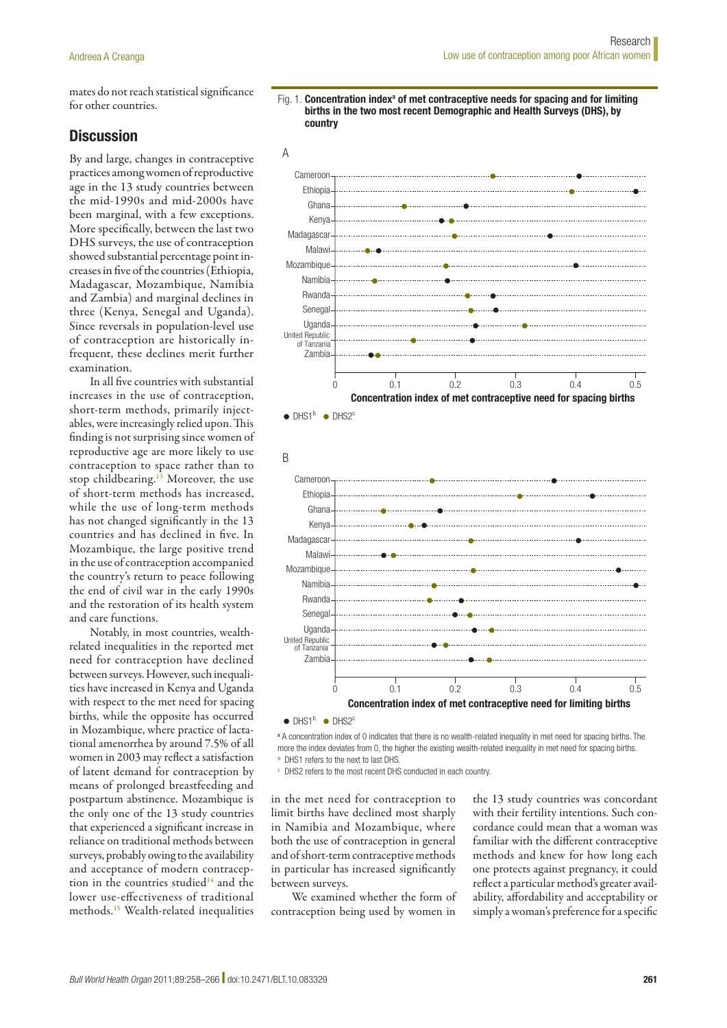mates do not reach statistical significance for other countries.

# **Discussion**

By and large, changes in contraceptive practices among women of reproductive age in the 13 study countries between the mid-1990s and mid-2000s have been marginal, with a few exceptions. More specifically, between the last two DHS surveys, the use of contraception showed substantial percentage point increases in five of the countries (Ethiopia, Madagascar, Mozambique, Namibia and Zambia) and marginal declines in three (Kenya, Senegal and Uganda). Since reversals in population-level use of contraception are historically infrequent, these declines merit further examination.

In all five countries with substantial increases in the use of contraception, short-term methods, primarily injectables, were increasingly relied upon. This finding is not surprising since women of reproductive age are more likely to use contraception to space rather than to stop childbearing.<sup>13</sup> Moreover, the use of short-term methods has increased, while the use of long-term methods has not changed significantly in the 13 countries and has declined in five. In Mozambique, the large positive trend in the use of contraception accompanied the country's return to peace following the end of civil war in the early 1990s and the restoration of its health system and care functions.

Notably, in most countries, wealthrelated inequalities in the reported met need for contraception have declined between surveys. However, such inequalities have increased in Kenya and Uganda with respect to the met need for spacing births, while the opposite has occurred in Mozambique, where practice of lactational amenorrhea by around 7.5% of all women in 2003 may reflect a satisfaction of latent demand for contraception by means of prolonged breastfeeding and postpartum abstinence. Mozambique is the only one of the 13 study countries that experienced a significant increase in reliance on traditional methods between surveys, probably owing to the availability and acceptance of modern contraception in the countries studied<sup>14</sup> and the lower use-effectiveness of traditional methods.[15](#page-8-7) Wealth-related inequalities

<span id="page-3-0"></span>



a A concentration index of 0 indicates that there is no wealth-related inequality in met need for spacing births. The more the index deviates from 0, the higher the existing wealth-related inequality in met need for spacing births. **b** DHS1 refers to the next to last DHS.

<sup>c</sup> DHS2 refers to the most recent DHS conducted in each country.

in the met need for contraception to limit births have declined most sharply in Namibia and Mozambique, where both the use of contraception in general and of short-term contraceptive methods in particular has increased significantly between surveys.

We examined whether the form of contraception being used by women in

the 13 study countries was concordant with their fertility intentions. Such concordance could mean that a woman was familiar with the different contraceptive methods and knew for how long each one protects against pregnancy, it could reflect a particular method's greater availability, affordability and acceptability or simply a woman's preference for a specific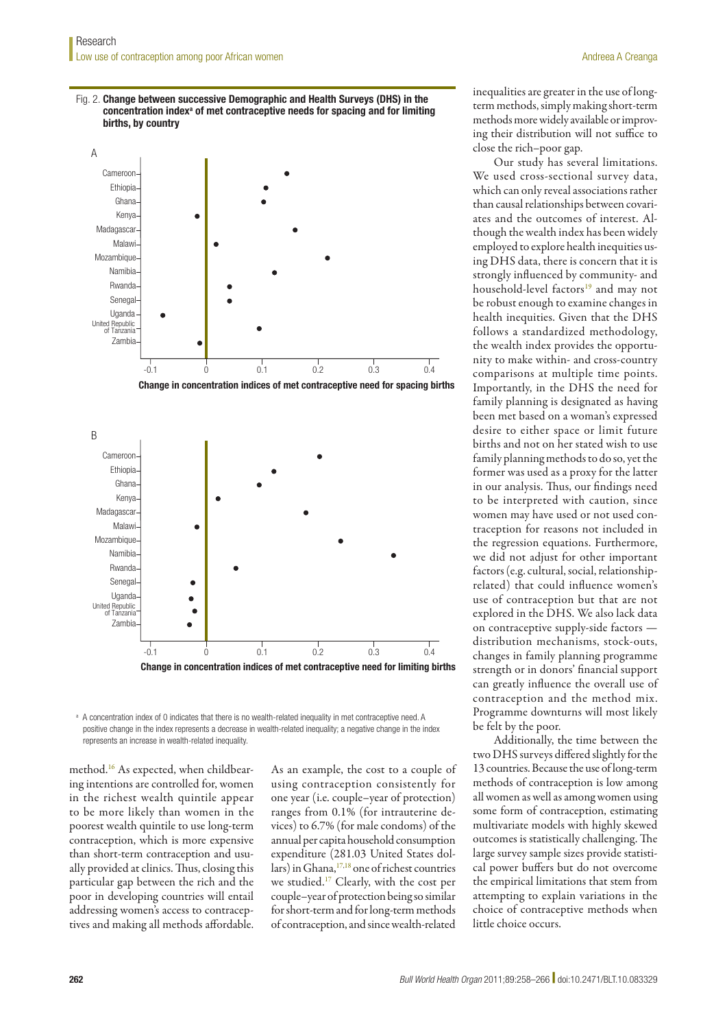#### <span id="page-4-0"></span>Fig. 2. Change between successive Demographic and Health Surveys (DHS) in the concentration index<sup>a</sup> of met contraceptive needs for spacing and for limiting births, by country





<sup>a</sup> A concentration index of 0 indicates that there is no wealth-related inequality in met contraceptive need. A positive change in the index represents a decrease in wealth-related inequality; a negative change in the index represents an increase in wealth-related inequality.

method.<sup>16</sup> As expected, when childbearing intentions are controlled for, women in the richest wealth quintile appear to be more likely than women in the poorest wealth quintile to use long-term contraception, which is more expensive than short-term contraception and usually provided at clinics. Thus, closing this particular gap between the rich and the poor in developing countries will entail addressing women's access to contraceptives and making all methods affordable.

As an example, the cost to a couple of using contraception consistently for one year (i.e. couple–year of protection) ranges from 0.1% (for intrauterine devices) to 6.7% (for male condoms) of the annual per capita household consumption expenditure (281.03 United States dollars) in Ghana,<sup>17,18</sup> one of richest countries we studied.[17](#page-8-9) Clearly, with the cost per couple–year of protection being so similar for short-term and for long-term methods of contraception, and since wealth-related

inequalities are greater in the use of longterm methods, simply making short-term methods more widely available or improving their distribution will not suffice to close the rich–poor gap.

Our study has several limitations. We used cross-sectional survey data, which can only reveal associations rather than causal relationships between covariates and the outcomes of interest. Although the wealth index has been widely employed to explore health inequities using DHS data, there is concern that it is strongly influenced by community- and household-level factors<sup>19</sup> and may not be robust enough to examine changes in health inequities. Given that the DHS follows a standardized methodology, the wealth index provides the opportunity to make within- and cross-country comparisons at multiple time points. Importantly, in the DHS the need for family planning is designated as having been met based on a woman's expressed desire to either space or limit future births and not on her stated wish to use family planning methods to do so, yet the former was used as a proxy for the latter in our analysis. Thus, our findings need to be interpreted with caution, since women may have used or not used contraception for reasons not included in the regression equations. Furthermore, we did not adjust for other important factors (e.g. cultural, social, relationshiprelated) that could influence women's use of contraception but that are not explored in the DHS. We also lack data on contraceptive supply-side factors distribution mechanisms, stock-outs, changes in family planning programme strength or in donors' financial support can greatly influence the overall use of contraception and the method mix. Programme downturns will most likely be felt by the poor.

Additionally, the time between the two DHS surveys differed slightly for the 13 countries. Because the use of long-term methods of contraception is low among all women as well as among women using some form of contraception, estimating multivariate models with highly skewed outcomes is statistically challenging. The large survey sample sizes provide statistical power buffers but do not overcome the empirical limitations that stem from attempting to explain variations in the choice of contraceptive methods when little choice occurs.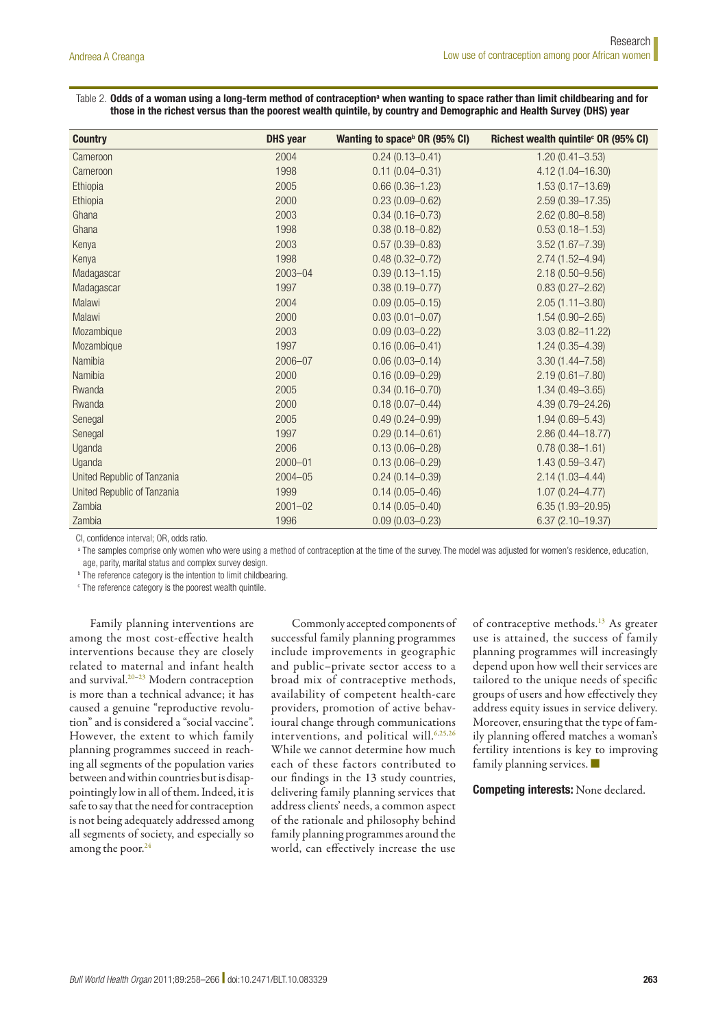<span id="page-5-0"></span>Table 2. Odds of a woman using a long-term method of contraception<sup>a</sup> when wanting to space rather than limit childbearing and for those in the richest versus than the poorest wealth quintile, by country and Demographic and Health Survey (DHS) year

| <b>Country</b>                     | <b>DHS</b> year | Wanting to space <sup>b</sup> OR (95% CI) | Richest wealth quintile <sup>c</sup> OR (95% CI) |
|------------------------------------|-----------------|-------------------------------------------|--------------------------------------------------|
| Cameroon                           | 2004            | $0.24(0.13 - 0.41)$                       | $1.20(0.41 - 3.53)$                              |
| Cameroon                           | 1998            | $0.11(0.04 - 0.31)$                       | 4.12 (1.04-16.30)                                |
| Ethiopia                           | 2005            | $0.66(0.36 - 1.23)$                       | $1.53(0.17 - 13.69)$                             |
| Ethiopia                           | 2000            | $0.23(0.09 - 0.62)$                       | $2.59(0.39 - 17.35)$                             |
| Ghana                              | 2003            | $0.34(0.16 - 0.73)$                       | $2.62(0.80 - 8.58)$                              |
| Ghana                              | 1998            | $0.38(0.18 - 0.82)$                       | $0.53(0.18 - 1.53)$                              |
| Kenya                              | 2003            | $0.57(0.39 - 0.83)$                       | $3.52(1.67 - 7.39)$                              |
| Kenya                              | 1998            | $0.48(0.32 - 0.72)$                       | $2.74(1.52 - 4.94)$                              |
| Madagascar                         | $2003 - 04$     | $0.39(0.13 - 1.15)$                       | $2.18(0.50 - 9.56)$                              |
| Madagascar                         | 1997            | $0.38(0.19 - 0.77)$                       | $0.83(0.27 - 2.62)$                              |
| Malawi                             | 2004            | $0.09(0.05 - 0.15)$                       | $2.05(1.11 - 3.80)$                              |
| Malawi                             | 2000            | $0.03(0.01 - 0.07)$                       | $1.54(0.90 - 2.65)$                              |
| Mozambique                         | 2003            | $0.09(0.03 - 0.22)$                       | $3.03(0.82 - 11.22)$                             |
| Mozambique                         | 1997            | $0.16(0.06 - 0.41)$                       | $1.24(0.35 - 4.39)$                              |
| Namibia                            | $2006 - 07$     | $0.06(0.03 - 0.14)$                       | $3.30(1.44 - 7.58)$                              |
| Namibia                            | 2000            | $0.16(0.09 - 0.29)$                       | $2.19(0.61 - 7.80)$                              |
| Rwanda                             | 2005            | $0.34(0.16 - 0.70)$                       | $1.34(0.49 - 3.65)$                              |
| Rwanda                             | 2000            | $0.18(0.07 - 0.44)$                       | 4.39 (0.79-24.26)                                |
| Senegal                            | 2005            | $0.49(0.24 - 0.99)$                       | $1.94(0.69 - 5.43)$                              |
| Senegal                            | 1997            | $0.29(0.14 - 0.61)$                       | $2.86(0.44 - 18.77)$                             |
| Uganda                             | 2006            | $0.13(0.06 - 0.28)$                       | $0.78(0.38 - 1.61)$                              |
| Uganda                             | $2000 - 01$     | $0.13(0.06 - 0.29)$                       | $1.43(0.59 - 3.47)$                              |
| <b>United Republic of Tanzania</b> | $2004 - 05$     | $0.24(0.14 - 0.39)$                       | $2.14(1.03 - 4.44)$                              |
| United Republic of Tanzania        | 1999            | $0.14(0.05 - 0.46)$                       | $1.07(0.24 - 4.77)$                              |
| Zambia                             | $2001 - 02$     | $0.14(0.05 - 0.40)$                       | $6.35(1.93 - 20.95)$                             |
| Zambia                             | 1996            | $0.09(0.03 - 0.23)$                       | $6.37(2.10 - 19.37)$                             |

CI, confidence interval; OR, odds ratio.

<sup>a</sup> The samples comprise only women who were using a method of contraception at the time of the survey. The model was adjusted for women's residence, education, age, parity, marital status and complex survey design.

**b** The reference category is the intention to limit childbearing.

<sup>c</sup> The reference category is the poorest wealth quintile.

Family planning interventions are among the most cost-effective health interventions because they are closely related to maternal and infant health and survival.<sup>[20](#page-8-12)-[23](#page-8-13)</sup> Modern contraception is more than a technical advance; it has caused a genuine "reproductive revolution" and is considered a "social vaccine". However, the extent to which family planning programmes succeed in reaching all segments of the population varies between and within countries but is disappointingly low in all of them. Indeed, it is safe to say that the need for contraception is not being adequately addressed among all segments of society, and especially so among the poor.<sup>24</sup>

Commonly accepted components of successful family planning programmes include improvements in geographic and public–private sector access to a broad mix of contraceptive methods, availability of competent health-care providers, promotion of active behavioural change through communications interventions, and political will.<sup>[6,](#page-7-5)[25](#page-8-15)[,26](#page-8-16)</sup> While we cannot determine how much each of these factors contributed to our findings in the 13 study countries, delivering family planning services that address clients' needs, a common aspect of the rationale and philosophy behind family planning programmes around the world, can effectively increase the use

of contraceptive methods.[13](#page-8-5) As greater use is attained, the success of family planning programmes will increasingly depend upon how well their services are tailored to the unique needs of specific groups of users and how effectively they address equity issues in service delivery. Moreover, ensuring that the type of family planning offered matches a woman's fertility intentions is key to improving family planning services.

Competing interests: None declared.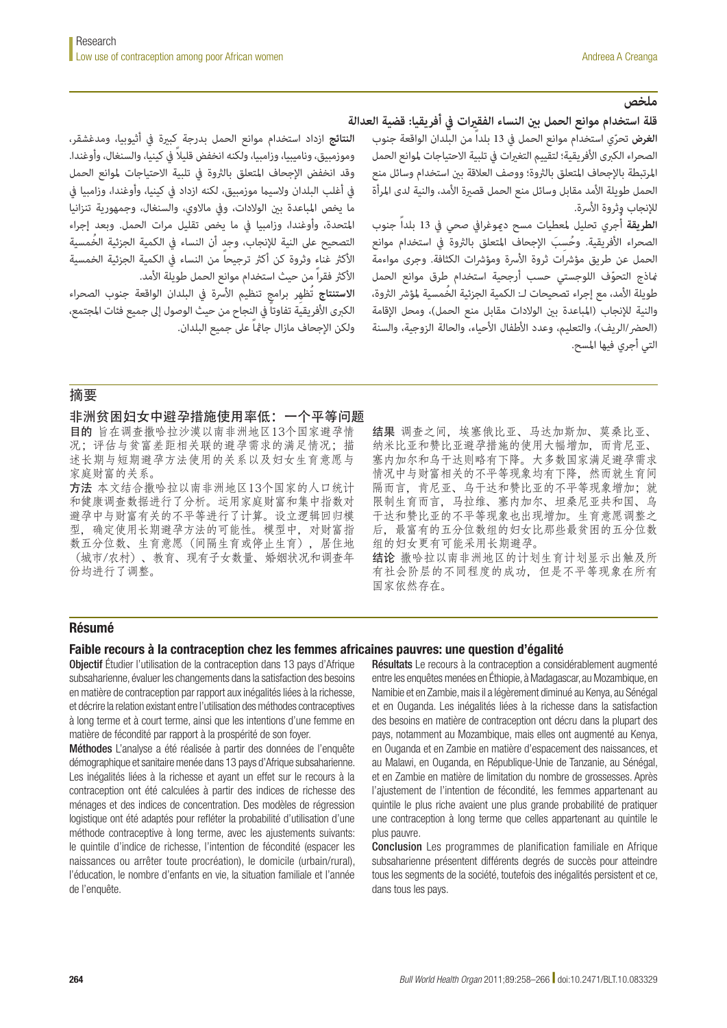## **ملخص**

## **قلة استخدام موانع الحمل بني النساء الفقريات يف أفريقيا: قضية العدالة**

**الغرض** ّ تحري استخدام موانع الحمل يف 13 بلداً من البلدان الواقعة جنوب الصحراء الكرى الأفريقية؛ لتقييم التغيرات في تلبية الاحتياجات لموانع الحمل املرتبطة باإلجحاف املتعلق بالرثوة؛ ووصف العالقة بني استخدام وسائل منع الحمل طويلة الأمد مقابل وسائل منع الحمل قصيرة الأمد، والنية لدى المرأة للإنجاب وثروة الأسرة.

ُجري تحليل ملعطيات مسح دميوغرايف صحي يف 13 بلداً جنوب **الطريقة** أ الصحراء الأفريقية. وحُسبَ الإجحاف المتعلق بالثروة في استخدام موانع الحمل عن طريق مؤشرات ثروة الأسرة ومؤشرات الكثافة. وجرى مواءمة ّ مناذج التحوف اللوجستي حسب أرجحية استخدام طرق موانع الحمل طويلة الأمد، مع إجراء تصحيحات لـ: الكمية الجزئية الخُمسية لمؤشر الثروة، والنية للإنجاب (المباعدة بين الولادات مقابل منع الحمل)، ومحل الإقامة (الحض /الريف)، والتعليم، وعدد الأطفال الأحياء، والحالة الزوجية، والسنة التي أجري فيها املسح.

**النتائج** ازداد استخدام موانع الحمل بدرجة كبرية يف أثيوبيا، ومدغشقر، ً وموزمبيق، وناميبيا، وزامبيا، ولكنه انخفض قليال يف كينيا، والسنغال، وأوغندا. وقد انخفض الإجحاف المتعلق بالثروة في تلبية الاحتياجات لموانع الحمل في أغلب البلدان ولاسيما موزمبيق، لكنه ازداد في كينيا، وأوغندا، وزامبيا في ما يخص املباعدة بني الوالدات، ويف ماالوي، والسنغال، وجمهورية تنزانيا املتحدة، وأوغندا، وزامبيا يف ما يخص تقليل مرات الحمل. وبعد إجراء ُ التصحيح عىل النية لإلنجاب، وجد أن النساء يف الكمية الجزئية الخمسية األكرث غناء وثروة كن أكرث ترجيحاً من النساء يف الكمية الجزئية الخمسية الأكثر فقراً من حيث استخدام موانع الحمل طويلة الأمد.

ا**لاستنتاج** تُظهر برامج تنظيم الأسرة في البلدان الواقعة جنوب الصحراء الكبرى الأفريقية تفاوتاً في النجاح من حيث الوصول إلى جميع فئات المجتمع، ولكن اإلجحاف مازال جامثاً عىل جميع البلدان.

# 摘要

非洲贫困妇女中避孕措施使用率低:一个平等问题 目的 旨在调查撒哈拉沙漠以南非洲地区13个国家避孕情 况;评估与贫富差距相关联的避孕需求的满足情况;描 述长期与短期避孕方法使用的关系以及妇女生育意愿与 家庭财富的关系。

方法 本文结合撒哈拉以南非洲地区13个国家的人口统计 和健康调查数据进行了分析。运用家庭财富和集中指数对 避孕中与财富有关的不平等进行了计算。设立逻辑回归模 型,确定使用长期避孕方法的可能性。模型中,对财富指 数五分位数、生育意愿(间隔生育或停止生育),居住地 (城市/农村)、教育、现有子女数量、婚姻状况和调查年 份均进行了调整。

结果 调查之间,埃塞俄比亚、马达加斯加、莫桑比亚、 纳米比亚和赞比亚避孕措施的使用大幅增加,而肯尼亚、 塞内加尔和乌干达则略有下降。大多数国家满足避孕需求 情况中与财富相关的不平等现象均有下降,然而就生育间 隔而言,肯尼亚、乌干达和赞比亚的不平等现象增加;就 限制生育而言,马拉维、塞内加尔、坦桑尼亚共和国、乌 干达和赞比亚的不平等现象也出现增加。生育意愿调整之 后,最富有的五分位数组的妇女比那些最贫困的五分位数 组的妇女更有可能采用长期避孕。

结论 撒哈拉以南非洲地区的计划生育计划显示出触及所 有社会阶层的不同程度的成功,但是不平等现象在所有 国家依然存在。

## Résumé

## Faible recours à la contraception chez les femmes africaines pauvres: une question d'égalité

Objectif Étudier l'utilisation de la contraception dans 13 pays d'Afrique subsaharienne, évaluer les changements dans la satisfaction des besoins en matière de contraception par rapport aux inégalités liées à la richesse, et décrire la relation existant entre l'utilisation des méthodes contraceptives à long terme et à court terme, ainsi que les intentions d'une femme en matière de fécondité par rapport à la prospérité de son foyer.

Méthodes L'analyse a été réalisée à partir des données de l'enquête démographique et sanitaire menée dans 13 pays d'Afrique subsaharienne. Les inégalités liées à la richesse et ayant un effet sur le recours à la contraception ont été calculées à partir des indices de richesse des ménages et des indices de concentration. Des modèles de régression logistique ont été adaptés pour refléter la probabilité d'utilisation d'une méthode contraceptive à long terme, avec les ajustements suivants: le quintile d'indice de richesse, l'intention de fécondité (espacer les naissances ou arrêter toute procréation), le domicile (urbain/rural), l'éducation, le nombre d'enfants en vie, la situation familiale et l'année de l'enquête.

Résultats Le recours à la contraception a considérablement augmenté entre les enquêtes menées en Éthiopie, à Madagascar, au Mozambique, en Namibie et en Zambie, mais il a légèrement diminué au Kenya, au Sénégal et en Ouganda. Les inégalités liées à la richesse dans la satisfaction des besoins en matière de contraception ont décru dans la plupart des pays, notamment au Mozambique, mais elles ont augmenté au Kenya, en Ouganda et en Zambie en matière d'espacement des naissances, et au Malawi, en Ouganda, en République-Unie de Tanzanie, au Sénégal, et en Zambie en matière de limitation du nombre de grossesses. Après l'ajustement de l'intention de fécondité, les femmes appartenant au quintile le plus riche avaient une plus grande probabilité de pratiquer une contraception à long terme que celles appartenant au quintile le plus pauvre.

Conclusion Les programmes de planification familiale en Afrique subsaharienne présentent différents degrés de succès pour atteindre tous les segments de la société, toutefois des inégalités persistent et ce, dans tous les pays.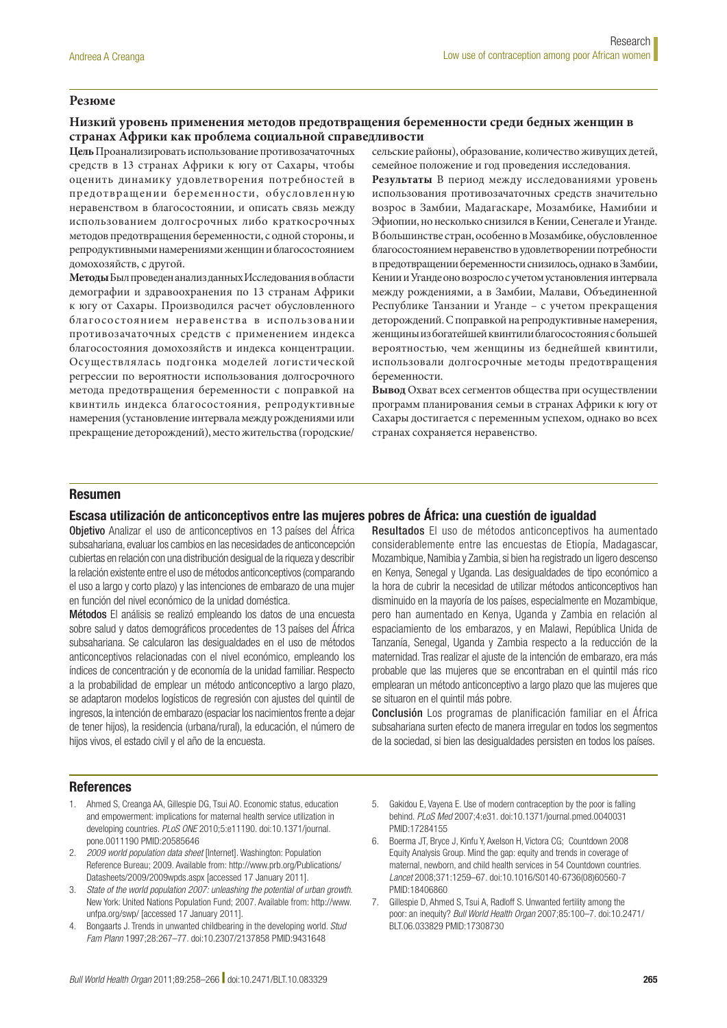## **Резюме**

## **Низкий уровень применения методов предотвращения беременности среди бедных женщин в странах Африки как проблема социальной справедливости**

**Цель** Проанализировать использование противозачаточных средств в 13 странах Африки к югу от Сахары, чтобы оценить динамику удовлетворения потребностей в предотвращении беременности, обусловленную неравенством в благосостоянии, и описать связь между использованием долгосрочных либо краткосрочных методов предотвращения беременности, с одной стороны, и репродуктивными намерениями женщин и благосостоянием домохозяйств, с другой.

**Методы** Был проведен анализ данных Исследования в области демографии и здравоохранения по 13 странам Африки к югу от Сахары. Производился расчет обусловленного благосостоянием неравенства в использовании противозачаточных средств с применением индекса благосостояния домохозяйств и индекса концентрации. Осуществлялась подгонка моделей логистической регрессии по вероятности использования долгосрочного метода предотвращения беременности с поправкой на квинтиль индекса благосостояния, репродуктивные намерения (установление интервала между рождениями или прекращение деторождений), место жительства (городские/

сельские районы), образование, количество живущих детей, семейное положение и год проведения исследования.

**Результаты** В период между исследованиями уровень использования противозачаточных средств значительно возрос в Замбии, Мадагаскаре, Мозамбике, Намибии и Эфиопии, но несколько снизился в Кении, Сенегале и Уганде. В большинстве стран, особенно в Мозамбике, обусловленное благосостоянием неравенство в удовлетворении потребности в предотвращении беременности снизилось, однако в Замбии, Кении и Уганде оно возросло с учетом установления интервала между рождениями, а в Замбии, Малави, Объединенной Республике Танзании и Уганде – с учетом прекращения деторождений. С поправкой на репродуктивные намерения, женщины из богатейшей квинтили благосостояния с большей вероятностью, чем женщины из беднейшей квинтили, использовали долгосрочные методы предотвращения беременности.

**Вывод** Охват всех сегментов общества при осуществлении программ планирования семьи в странах Африки к югу от Сахары достигается с переменным успехом, однако во всех странах сохраняется неравенство.

#### Resumen

#### Escasa utilización de anticonceptivos entre las mujeres pobres de África: una cuestión de igualdad

Objetivo Analizar el uso de anticonceptivos en 13 países del África subsahariana, evaluar los cambios en las necesidades de anticoncepción cubiertas en relación con una distribución desigual de la riqueza y describir la relación existente entre el uso de métodos anticonceptivos (comparando el uso a largo y corto plazo) y las intenciones de embarazo de una mujer en función del nivel económico de la unidad doméstica.

Métodos El análisis se realizó empleando los datos de una encuesta sobre salud y datos demográficos procedentes de 13 países del África subsahariana. Se calcularon las desigualdades en el uso de métodos anticonceptivos relacionadas con el nivel económico, empleando los índices de concentración y de economía de la unidad familiar. Respecto a la probabilidad de emplear un método anticonceptivo a largo plazo, se adaptaron modelos logísticos de regresión con ajustes del quintil de ingresos, la intención de embarazo (espaciar los nacimientos frente a dejar de tener hijos), la residencia (urbana/rural), la educación, el número de hijos vivos, el estado civil y el año de la encuesta.

Resultados El uso de métodos anticonceptivos ha aumentado considerablemente entre las encuestas de Etiopía, Madagascar, Mozambique, Namibia y Zambia, si bien ha registrado un ligero descenso en Kenya, Senegal y Uganda. Las desigualdades de tipo económico a la hora de cubrir la necesidad de utilizar métodos anticonceptivos han disminuido en la mayoría de los países, especialmente en Mozambique, pero han aumentado en Kenya, Uganda y Zambia en relación al espaciamiento de los embarazos, y en Malawi, República Unida de Tanzanía, Senegal, Uganda y Zambia respecto a la reducción de la maternidad. Tras realizar el ajuste de la intención de embarazo, era más probable que las mujeres que se encontraban en el quintil más rico emplearan un método anticonceptivo a largo plazo que las mujeres que se situaron en el quintil más pobre.

Conclusión Los programas de planificación familiar en el África subsahariana surten efecto de manera irregular en todos los segmentos de la sociedad, si bien las desigualdades persisten en todos los países.

#### References

- <span id="page-7-0"></span>1. Ahmed S, Creanga AA, Gillespie DG, Tsui AO. Economic status, education and empowerment: implications for maternal health service utilization in developing countries. *PLoS ONE* 2010;5:e11190. doi:[10.1371/journal.](http://dx.doi.org/10.1371/journal.pone.0011190) [pone.0011190](http://dx.doi.org/10.1371/journal.pone.0011190) PMID:[20585646](http://www.ncbi.nlm.nih.gov/pubmed/20585646)
- <span id="page-7-1"></span>2. *2009 world population data sheet* [Internet]. Washington: Population Reference Bureau; 2009. Available from: http://www.prb.org/Publications/ Datasheets/2009/2009wpds.aspx [accessed 17 January 2011].
- <span id="page-7-2"></span>3. *State of the world population 2007: unleashing the potential of urban growth*. New York: United Nations Population Fund; 2007. Available from: http://www. unfpa.org/swp/ [accessed 17 January 2011].
- <span id="page-7-3"></span>4. Bongaarts J. Trends in unwanted childbearing in the developing world. *Stud Fam Plann* 1997;28:267–77. doi:[10.2307/2137858](http://dx.doi.org/10.2307/2137858) PMID:[9431648](http://www.ncbi.nlm.nih.gov/pubmed/9431648)
- <span id="page-7-4"></span>5. Gakidou E, Vayena E. Use of modern contraception by the poor is falling behind. *PLoS Med* 2007;4:e31. doi[:10.1371/journal.pmed.0040031](http://dx.doi.org/10.1371/journal.pmed.0040031) PMID:[17284155](http://www.ncbi.nlm.nih.gov/pubmed/17284155)
- <span id="page-7-5"></span>6. Boerma JT, Bryce J, Kinfu Y, Axelson H, Victora CG; Countdown 2008 Equity Analysis Group. Mind the gap: equity and trends in coverage of maternal, newborn, and child health services in 54 Countdown countries. *Lancet* 2008;371:1259–67. doi[:10.1016/S0140-6736\(08\)60560-7](http://dx.doi.org/10.1016/S0140-6736(08)60560-7)  PMID:[18406860](http://www.ncbi.nlm.nih.gov/pubmed/18406860)
- <span id="page-7-6"></span>7. Gillespie D, Ahmed S, Tsui A, Radloff S. Unwanted fertility among the poor: an inequity? *Bull World Health Organ* 2007;85:100–7. doi:[10.2471/](http://dx.doi.org/10.2471/BLT.06.033829) [BLT.06.033829](http://dx.doi.org/10.2471/BLT.06.033829) PMID[:17308730](http://www.ncbi.nlm.nih.gov/pubmed/17308730)